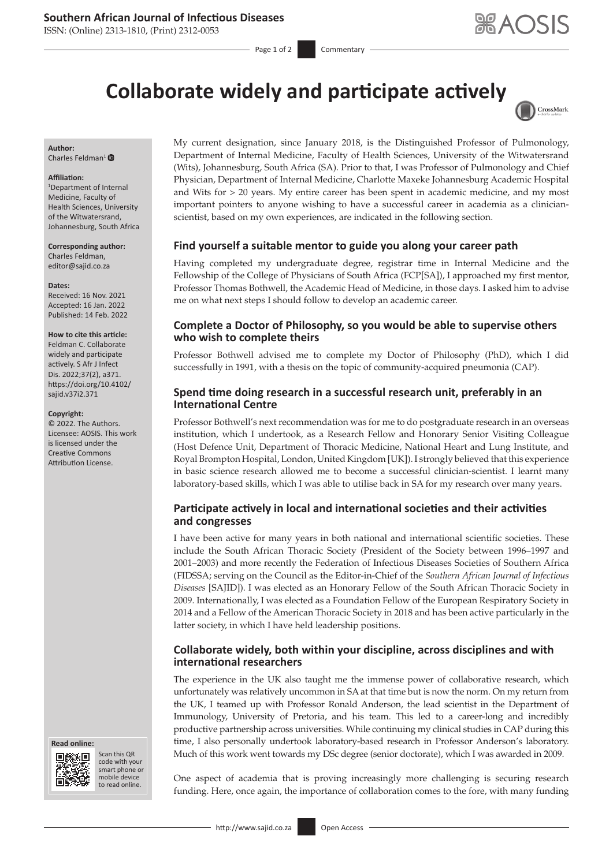# **Southern African Journal of Infectious Diseases**

ISSN: (Online) 2313-1810, (Print) 2312-0053

# **Collaborate widely and participate actively**



#### **Author:** Charles Feldman<sup>1</sup> $\bullet$

#### **Affiliation:**

1 Department of Internal Medicine, Faculty of Health Sciences, University of the Witwatersrand, Johannesburg, South Africa

**Corresponding author:** Charles Feldman, [editor@sajid.co.za](mailto:editor@sajid.co.za)

#### **Dates:**

Received: 16 Nov. 2021 Accepted: 16 Jan. 2022 Published: 14 Feb. 2022

#### **How to cite this article:**

Feldman C. Collaborate widely and participate actively. S Afr J Infect Dis. 2022;37(2), a371. [https://doi.org/10.4102/](https://doi.org/10.4102/sajid.v37i2.371) [sajid.v37i2.371](https://doi.org/10.4102/sajid.v37i2.371)

#### **Copyright:**

© 2022. The Authors. Licensee: AOSIS. This work is licensed under the Creative Commons Attribution License.





Scan this QR code with your Scan this QR<br>code with your<br>smart phone or<br>mobile device mobile device to read online. to read online.

My current designation, since January 2018, is the Distinguished Professor of Pulmonology, Department of Internal Medicine, Faculty of Health Sciences, University of the Witwatersrand (Wits), Johannesburg, South Africa (SA). Prior to that, I was Professor of Pulmonology and Chief Physician, Department of Internal Medicine, Charlotte Maxeke Johannesburg Academic Hospital and Wits for > 20 years. My entire career has been spent in academic medicine, and my most important pointers to anyone wishing to have a successful career in academia as a clinicianscientist, based on my own experiences, are indicated in the following section.

## **Find yourself a suitable mentor to guide you along your career path**

Having completed my undergraduate degree, registrar time in Internal Medicine and the Fellowship of the College of Physicians of South Africa (FCP[SA]), I approached my first mentor, Professor Thomas Bothwell, the Academic Head of Medicine, in those days. I asked him to advise me on what next steps I should follow to develop an academic career.

## **Complete a Doctor of Philosophy, so you would be able to supervise others who wish to complete theirs**

Professor Bothwell advised me to complete my Doctor of Philosophy (PhD), which I did successfully in 1991, with a thesis on the topic of community-acquired pneumonia (CAP).

## **Spend time doing research in a successful research unit, preferably in an International Centre**

Professor Bothwell's next recommendation was for me to do postgraduate research in an overseas institution, which I undertook, as a Research Fellow and Honorary Senior Visiting Colleague (Host Defence Unit, Department of Thoracic Medicine, National Heart and Lung Institute, and Royal Brompton Hospital, London, United Kingdom [UK]). I strongly believed that this experience in basic science research allowed me to become a successful clinician-scientist. I learnt many laboratory-based skills, which I was able to utilise back in SA for my research over many years.

# **Participate actively in local and international societies and their activities and congresses**

I have been active for many years in both national and international scientific societies. These include the South African Thoracic Society (President of the Society between 1996–1997 and 2001–2003) and more recently the Federation of Infectious Diseases Societies of Southern Africa (FIDSSA; serving on the Council as the Editor-in-Chief of the *Southern African Journal of Infectious Diseases* [SAJID]). I was elected as an Honorary Fellow of the South African Thoracic Society in 2009. Internationally, I was elected as a Foundation Fellow of the European Respiratory Society in 2014 and a Fellow of the American Thoracic Society in 2018 and has been active particularly in the latter society, in which I have held leadership positions.

# **Collaborate widely, both within your discipline, across disciplines and with international researchers**

The experience in the UK also taught me the immense power of collaborative research, which unfortunately was relatively uncommon in SA at that time but is now the norm. On my return from the UK, I teamed up with Professor Ronald Anderson, the lead scientist in the Department of Immunology, University of Pretoria, and his team. This led to a career-long and incredibly productive partnership across universities. While continuing my clinical studies in CAP during this time, I also personally undertook laboratory-based research in Professor Anderson's laboratory. Much of this work went towards my DSc degree (senior doctorate), which I was awarded in 2009.

One aspect of academia that is proving increasingly more challenging is securing research funding. Here, once again, the importance of collaboration comes to the fore, with many funding